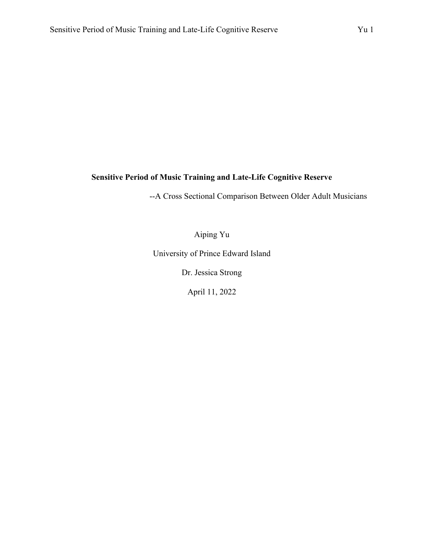### **Sensitive Period of Music Training and Late-Life Cognitive Reserve**

--A Cross Sectional Comparison Between Older Adult Musicians

Aiping Yu

University of Prince Edward Island

Dr. Jessica Strong

April 11, 2022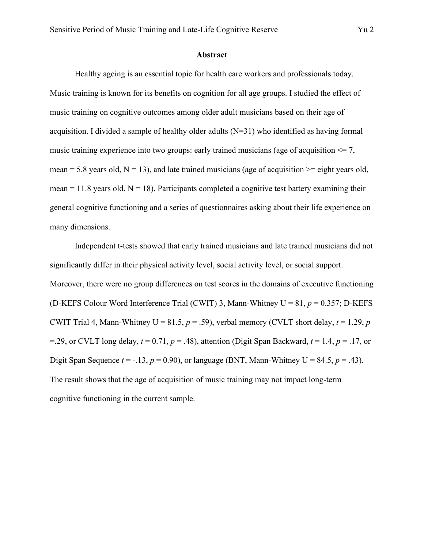#### **Abstract**

Healthy ageing is an essential topic for health care workers and professionals today. Music training is known for its benefits on cognition for all age groups. I studied the effect of music training on cognitive outcomes among older adult musicians based on their age of acquisition. I divided a sample of healthy older adults (N=31) who identified as having formal music training experience into two groups: early trained musicians (age of acquisition  $\leq 7$ , mean = 5.8 years old,  $N = 13$ ), and late trained musicians (age of acquisition  $\ge$  eight years old, mean = 11.8 years old,  $N = 18$ ). Participants completed a cognitive test battery examining their general cognitive functioning and a series of questionnaires asking about their life experience on many dimensions.

Independent t-tests showed that early trained musicians and late trained musicians did not significantly differ in their physical activity level, social activity level, or social support. Moreover, there were no group differences on test scores in the domains of executive functioning (D-KEFS Colour Word Interference Trial (CWIT) 3, Mann-Whitney U = 81, *p* = 0.357; D-KEFS CWIT Trial 4, Mann-Whitney U = 81.5,  $p = .59$ ), verbal memory (CVLT short delay,  $t = 1.29$ ,  $p = .59$ =.29, or CVLT long delay,  $t = 0.71$ ,  $p = .48$ ), attention (Digit Span Backward,  $t = 1.4$ ,  $p = .17$ , or Digit Span Sequence  $t = -.13$ ,  $p = 0.90$ ), or language (BNT, Mann-Whitney U = 84.5,  $p = .43$ ). The result shows that the age of acquisition of music training may not impact long-term cognitive functioning in the current sample.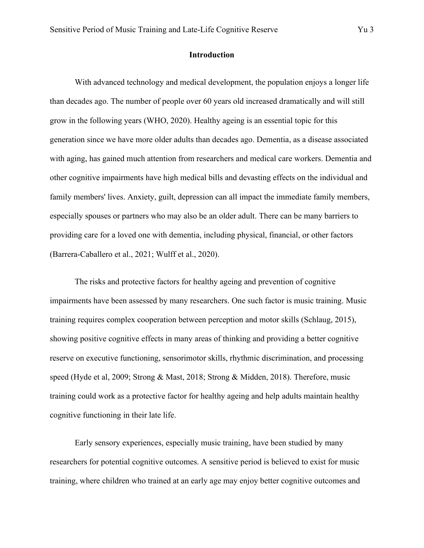#### **Introduction**

With advanced technology and medical development, the population enjoys a longer life than decades ago. The number of people over 60 years old increased dramatically and will still grow in the following years (WHO, 2020). Healthy ageing is an essential topic for this generation since we have more older adults than decades ago. Dementia, as a disease associated with aging, has gained much attention from researchers and medical care workers. Dementia and other cognitive impairments have high medical bills and devasting effects on the individual and family members' lives. Anxiety, guilt, depression can all impact the immediate family members, especially spouses or partners who may also be an older adult. There can be many barriers to providing care for a loved one with dementia, including physical, financial, or other factors (Barrera-Caballero et al., 2021; Wulff et al., 2020).

The risks and protective factors for healthy ageing and prevention of cognitive impairments have been assessed by many researchers. One such factor is music training. Music training requires complex cooperation between perception and motor skills (Schlaug, 2015), showing positive cognitive effects in many areas of thinking and providing a better cognitive reserve on executive functioning, sensorimotor skills, rhythmic discrimination, and processing speed (Hyde et al, 2009; Strong & Mast, 2018; Strong & Midden, 2018). Therefore, music training could work as a protective factor for healthy ageing and help adults maintain healthy cognitive functioning in their late life.

Early sensory experiences, especially music training, have been studied by many researchers for potential cognitive outcomes. A sensitive period is believed to exist for music training, where children who trained at an early age may enjoy better cognitive outcomes and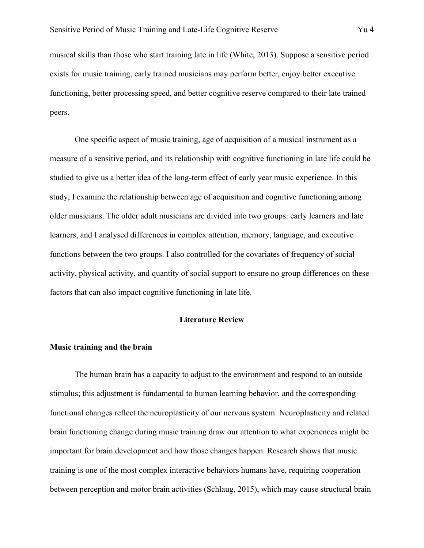musical skills than those who start training late in life (White, 2013). Suppose a sensitive period exists for music training, early trained musicians may perform better, enjoy better executive functioning, better processing speed, and better cognitive reserve compared to their late trained peers.

One specific aspect of music training, age of acquisition of a musical instrument as a measure of a sensitive period, and its relationship with cognitive functioning in late life could be studied to give us a better idea of the long-term effect of early year music experience. In this study, I examine the relationship between age of acquisition and cognitive functioning among older musicians. The older adult musicians are divided into two groups: early learners and late learners, and I analysed differences in complex attention, memory, language, and executive functions between the two groups. I also controlled for the covariates of frequency of social activity, physical activity, and quantity of social support to ensure no group differences on these factors that can also impact cognitive functioning in late life.

#### **Literature Review**

#### **Music training and the brain**

The human brain has a capacity to adjust to the environment and respond to an outside stimulus; this adjustment is fundamental to human learning behavior, and the corresponding functional changes reflect the neuroplasticity of our nervous system. Neuroplasticity and related brain functioning change during music training draw our attention to what experiences might be important for brain development and how those changes happen. Research shows that music training is one of the most complex interactive behaviors humans have, requiring cooperation between perception and motor brain activities (Schlaug, 2015), which may cause structural brain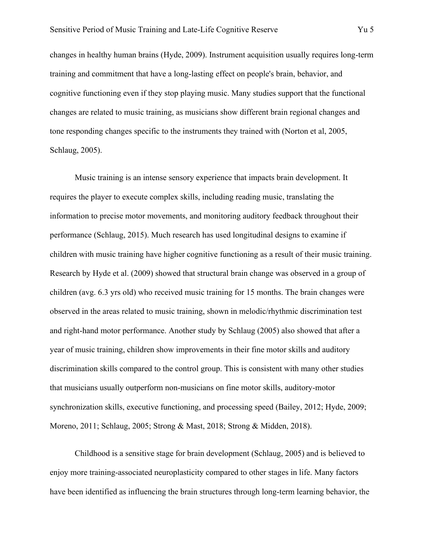changes in healthy human brains (Hyde, 2009). Instrument acquisition usually requires long-term training and commitment that have a long-lasting effect on people's brain, behavior, and cognitive functioning even if they stop playing music. Many studies support that the functional changes are related to music training, as musicians show different brain regional changes and tone responding changes specific to the instruments they trained with (Norton et al, 2005, Schlaug, 2005).

Music training is an intense sensory experience that impacts brain development. It requires the player to execute complex skills, including reading music, translating the information to precise motor movements, and monitoring auditory feedback throughout their performance (Schlaug, 2015). Much research has used longitudinal designs to examine if children with music training have higher cognitive functioning as a result of their music training. Research by Hyde et al. (2009) showed that structural brain change was observed in a group of children (avg. 6.3 yrs old) who received music training for 15 months. The brain changes were observed in the areas related to music training, shown in melodic/rhythmic discrimination test and right-hand motor performance. Another study by Schlaug (2005) also showed that after a year of music training, children show improvements in their fine motor skills and auditory discrimination skills compared to the control group. This is consistent with many other studies that musicians usually outperform non-musicians on fine motor skills, auditory-motor synchronization skills, executive functioning, and processing speed (Bailey, 2012; Hyde, 2009; Moreno, 2011; Schlaug, 2005; Strong & Mast, 2018; Strong & Midden, 2018).

Childhood is a sensitive stage for brain development (Schlaug, 2005) and is believed to enjoy more training-associated neuroplasticity compared to other stages in life. Many factors have been identified as influencing the brain structures through long-term learning behavior, the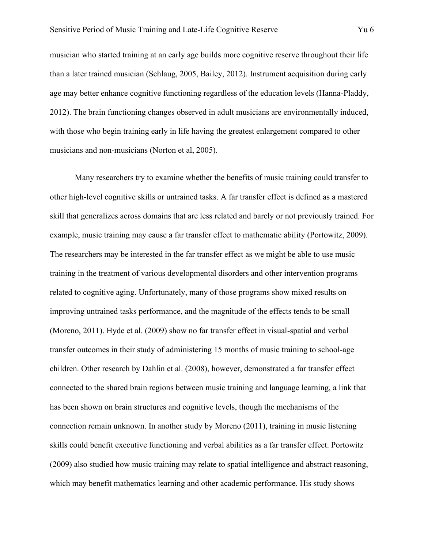musician who started training at an early age builds more cognitive reserve throughout their life than a later trained musician (Schlaug, 2005, Bailey, 2012). Instrument acquisition during early age may better enhance cognitive functioning regardless of the education levels (Hanna-Pladdy, 2012). The brain functioning changes observed in adult musicians are environmentally induced, with those who begin training early in life having the greatest enlargement compared to other musicians and non-musicians (Norton et al, 2005).

Many researchers try to examine whether the benefits of music training could transfer to other high-level cognitive skills or untrained tasks. A far transfer effect is defined as a mastered skill that generalizes across domains that are less related and barely or not previously trained. For example, music training may cause a far transfer effect to mathematic ability (Portowitz, 2009). The researchers may be interested in the far transfer effect as we might be able to use music training in the treatment of various developmental disorders and other intervention programs related to cognitive aging. Unfortunately, many of those programs show mixed results on improving untrained tasks performance, and the magnitude of the effects tends to be small (Moreno, 2011). Hyde et al. (2009) show no far transfer effect in visual-spatial and verbal transfer outcomes in their study of administering 15 months of music training to school-age children. Other research by Dahlin et al. (2008), however, demonstrated a far transfer effect connected to the shared brain regions between music training and language learning, a link that has been shown on brain structures and cognitive levels, though the mechanisms of the connection remain unknown. In another study by Moreno (2011), training in music listening skills could benefit executive functioning and verbal abilities as a far transfer effect. Portowitz (2009) also studied how music training may relate to spatial intelligence and abstract reasoning, which may benefit mathematics learning and other academic performance. His study shows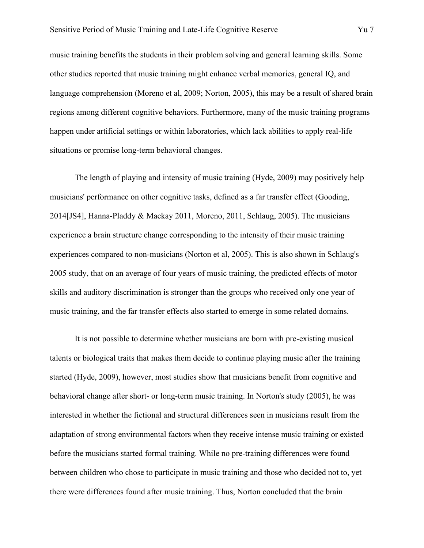music training benefits the students in their problem solving and general learning skills. Some other studies reported that music training might enhance verbal memories, general IQ, and language comprehension (Moreno et al, 2009; Norton, 2005), this may be a result of shared brain regions among different cognitive behaviors. Furthermore, many of the music training programs happen under artificial settings or within laboratories, which lack abilities to apply real-life situations or promise long-term behavioral changes.

The length of playing and intensity of music training (Hyde, 2009) may positively help musicians' performance on other cognitive tasks, defined as a far transfer effect (Gooding, 2014[JS4], Hanna-Pladdy & Mackay 2011, Moreno, 2011, Schlaug, 2005). The musicians experience a brain structure change corresponding to the intensity of their music training experiences compared to non-musicians (Norton et al, 2005). This is also shown in Schlaug's 2005 study, that on an average of four years of music training, the predicted effects of motor skills and auditory discrimination is stronger than the groups who received only one year of music training, and the far transfer effects also started to emerge in some related domains.

It is not possible to determine whether musicians are born with pre-existing musical talents or biological traits that makes them decide to continue playing music after the training started (Hyde, 2009), however, most studies show that musicians benefit from cognitive and behavioral change after short- or long-term music training. In Norton's study (2005), he was interested in whether the fictional and structural differences seen in musicians result from the adaptation of strong environmental factors when they receive intense music training or existed before the musicians started formal training. While no pre-training differences were found between children who chose to participate in music training and those who decided not to, yet there were differences found after music training. Thus, Norton concluded that the brain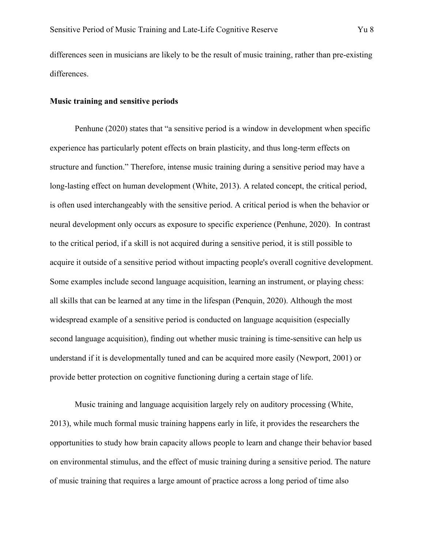differences seen in musicians are likely to be the result of music training, rather than pre-existing differences.

#### **Music training and sensitive periods**

Penhune (2020) states that "a sensitive period is a window in development when specific experience has particularly potent effects on brain plasticity, and thus long-term effects on structure and function." Therefore, intense music training during a sensitive period may have a long-lasting effect on human development (White, 2013). A related concept, the critical period, is often used interchangeably with the sensitive period. A critical period is when the behavior or neural development only occurs as exposure to specific experience (Penhune, 2020). In contrast to the critical period, if a skill is not acquired during a sensitive period, it is still possible to acquire it outside of a sensitive period without impacting people's overall cognitive development. Some examples include second language acquisition, learning an instrument, or playing chess: all skills that can be learned at any time in the lifespan (Penquin, 2020). Although the most widespread example of a sensitive period is conducted on language acquisition (especially second language acquisition), finding out whether music training is time-sensitive can help us understand if it is developmentally tuned and can be acquired more easily (Newport, 2001) or provide better protection on cognitive functioning during a certain stage of life.

Music training and language acquisition largely rely on auditory processing (White, 2013), while much formal music training happens early in life, it provides the researchers the opportunities to study how brain capacity allows people to learn and change their behavior based on environmental stimulus, and the effect of music training during a sensitive period. The nature of music training that requires a large amount of practice across a long period of time also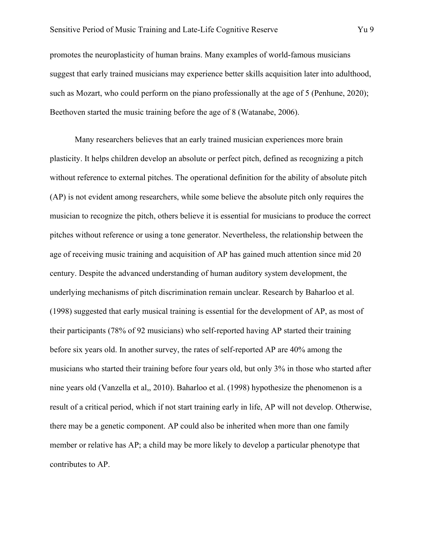promotes the neuroplasticity of human brains. Many examples of world-famous musicians suggest that early trained musicians may experience better skills acquisition later into adulthood, such as Mozart, who could perform on the piano professionally at the age of 5 (Penhune, 2020); Beethoven started the music training before the age of 8 (Watanabe, 2006).

Many researchers believes that an early trained musician experiences more brain plasticity. It helps children develop an absolute or perfect pitch, defined as recognizing a pitch without reference to external pitches. The operational definition for the ability of absolute pitch (AP) is not evident among researchers, while some believe the absolute pitch only requires the musician to recognize the pitch, others believe it is essential for musicians to produce the correct pitches without reference or using a tone generator. Nevertheless, the relationship between the age of receiving music training and acquisition of AP has gained much attention since mid 20 century. Despite the advanced understanding of human auditory system development, the underlying mechanisms of pitch discrimination remain unclear. Research by Baharloo et al. (1998) suggested that early musical training is essential for the development of AP, as most of their participants (78% of 92 musicians) who self-reported having AP started their training before six years old. In another survey, the rates of self-reported AP are 40% among the musicians who started their training before four years old, but only 3% in those who started after nine years old (Vanzella et al,, 2010). Baharloo et al. (1998) hypothesize the phenomenon is a result of a critical period, which if not start training early in life, AP will not develop. Otherwise, there may be a genetic component. AP could also be inherited when more than one family member or relative has AP; a child may be more likely to develop a particular phenotype that contributes to AP.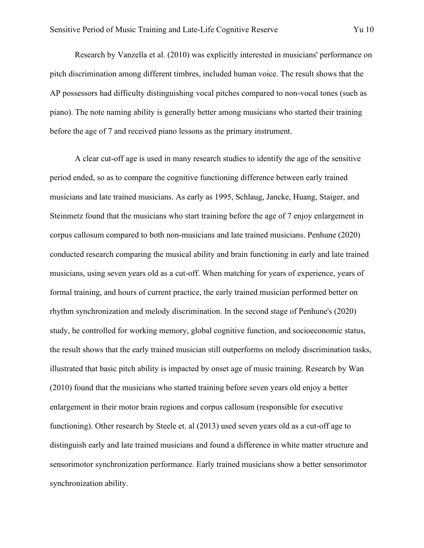Research by Vanzella et al. (2010) was explicitly interested in musicians' performance on pitch discrimination among different timbres, included human voice. The result shows that the AP possessors had difficulty distinguishing vocal pitches compared to non-vocal tones (such as piano). The note naming ability is generally better among musicians who started their training before the age of 7 and received piano lessons as the primary instrument.

A clear cut-off age is used in many research studies to identify the age of the sensitive period ended, so as to compare the cognitive functioning difference between early trained musicians and late trained musicians. As early as 1995, Schlaug, Jancke, Huang, Staiger, and Steinmetz found that the musicians who start training before the age of 7 enjoy enlargement in corpus callosum compared to both non-musicians and late trained musicians. Penhune (2020) conducted research comparing the musical ability and brain functioning in early and late trained musicians, using seven years old as a cut-off. When matching for years of experience, years of formal training, and hours of current practice, the early trained musician performed better on rhythm synchronization and melody discrimination. In the second stage of Penhune's (2020) study, he controlled for working memory, global cognitive function, and socioeconomic status, the result shows that the early trained musician still outperforms on melody discrimination tasks, illustrated that basic pitch ability is impacted by onset age of music training. Research by Wan (2010) found that the musicians who started training before seven years old enjoy a better enlargement in their motor brain regions and corpus callosum (responsible for executive functioning). Other research by Steele et. al (2013) used seven years old as a cut-off age to distinguish early and late trained musicians and found a difference in white matter structure and sensorimotor synchronization performance. Early trained musicians show a better sensorimotor synchronization ability.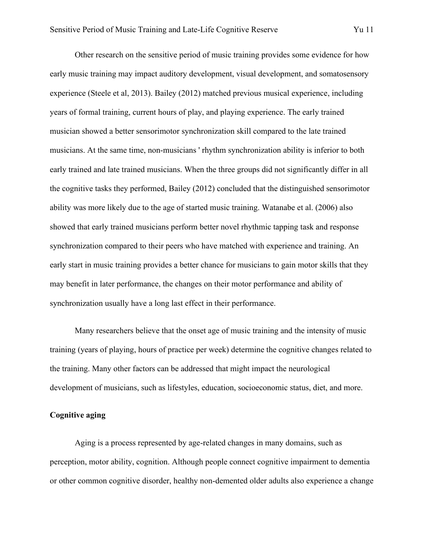Other research on the sensitive period of music training provides some evidence for how early music training may impact auditory development, visual development, and somatosensory experience (Steele et al, 2013). Bailey (2012) matched previous musical experience, including years of formal training, current hours of play, and playing experience. The early trained musician showed a better sensorimotor synchronization skill compared to the late trained musicians. At the same time, non-musicians ' rhythm synchronization ability is inferior to both early trained and late trained musicians. When the three groups did not significantly differ in all the cognitive tasks they performed, Bailey (2012) concluded that the distinguished sensorimotor ability was more likely due to the age of started music training. Watanabe et al. (2006) also showed that early trained musicians perform better novel rhythmic tapping task and response synchronization compared to their peers who have matched with experience and training. An early start in music training provides a better chance for musicians to gain motor skills that they may benefit in later performance, the changes on their motor performance and ability of synchronization usually have a long last effect in their performance.

Many researchers believe that the onset age of music training and the intensity of music training (years of playing, hours of practice per week) determine the cognitive changes related to the training. Many other factors can be addressed that might impact the neurological development of musicians, such as lifestyles, education, socioeconomic status, diet, and more.

### **Cognitive aging**

Aging is a process represented by age-related changes in many domains, such as perception, motor ability, cognition. Although people connect cognitive impairment to dementia or other common cognitive disorder, healthy non-demented older adults also experience a change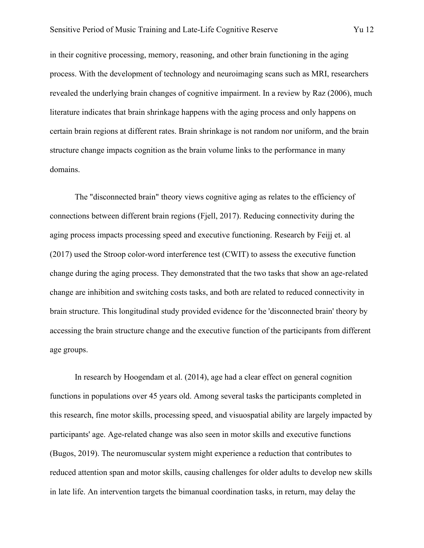in their cognitive processing, memory, reasoning, and other brain functioning in the aging process. With the development of technology and neuroimaging scans such as MRI, researchers revealed the underlying brain changes of cognitive impairment. In a review by Raz (2006), much literature indicates that brain shrinkage happens with the aging process and only happens on certain brain regions at different rates. Brain shrinkage is not random nor uniform, and the brain structure change impacts cognition as the brain volume links to the performance in many domains.

The "disconnected brain" theory views cognitive aging as relates to the efficiency of connections between different brain regions (Fjell, 2017). Reducing connectivity during the aging process impacts processing speed and executive functioning. Research by Feijj et. al (2017) used the Stroop color-word interference test (CWIT) to assess the executive function change during the aging process. They demonstrated that the two tasks that show an age-related change are inhibition and switching costs tasks, and both are related to reduced connectivity in brain structure. This longitudinal study provided evidence for the 'disconnected brain' theory by accessing the brain structure change and the executive function of the participants from different age groups.

In research by Hoogendam et al. (2014), age had a clear effect on general cognition functions in populations over 45 years old. Among several tasks the participants completed in this research, fine motor skills, processing speed, and visuospatial ability are largely impacted by participants' age. Age-related change was also seen in motor skills and executive functions (Bugos, 2019). The neuromuscular system might experience a reduction that contributes to reduced attention span and motor skills, causing challenges for older adults to develop new skills in late life. An intervention targets the bimanual coordination tasks, in return, may delay the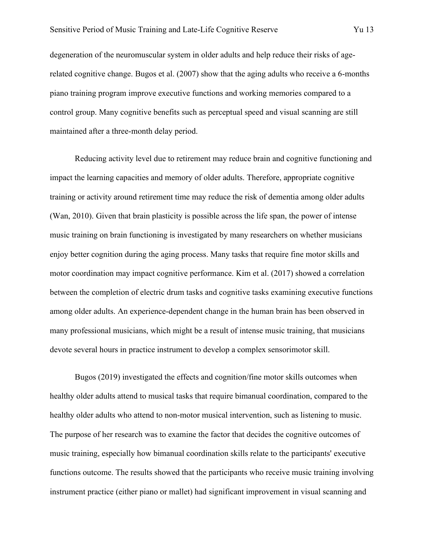degeneration of the neuromuscular system in older adults and help reduce their risks of agerelated cognitive change. Bugos et al. (2007) show that the aging adults who receive a 6-months piano training program improve executive functions and working memories compared to a control group. Many cognitive benefits such as perceptual speed and visual scanning are still maintained after a three-month delay period.

Reducing activity level due to retirement may reduce brain and cognitive functioning and impact the learning capacities and memory of older adults. Therefore, appropriate cognitive training or activity around retirement time may reduce the risk of dementia among older adults (Wan, 2010). Given that brain plasticity is possible across the life span, the power of intense music training on brain functioning is investigated by many researchers on whether musicians enjoy better cognition during the aging process. Many tasks that require fine motor skills and motor coordination may impact cognitive performance. Kim et al. (2017) showed a correlation between the completion of electric drum tasks and cognitive tasks examining executive functions among older adults. An experience-dependent change in the human brain has been observed in many professional musicians, which might be a result of intense music training, that musicians devote several hours in practice instrument to develop a complex sensorimotor skill.

Bugos (2019) investigated the effects and cognition/fine motor skills outcomes when healthy older adults attend to musical tasks that require bimanual coordination, compared to the healthy older adults who attend to non-motor musical intervention, such as listening to music. The purpose of her research was to examine the factor that decides the cognitive outcomes of music training, especially how bimanual coordination skills relate to the participants' executive functions outcome. The results showed that the participants who receive music training involving instrument practice (either piano or mallet) had significant improvement in visual scanning and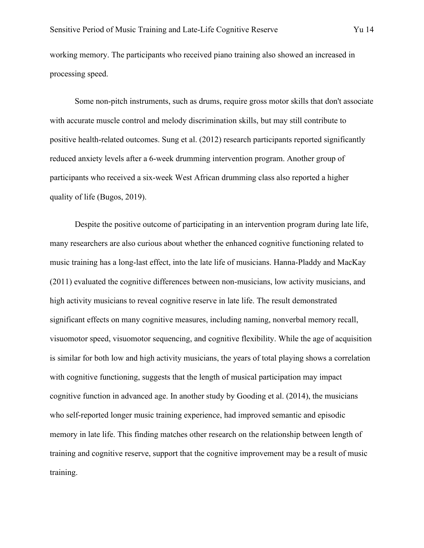working memory. The participants who received piano training also showed an increased in processing speed.

Some non-pitch instruments, such as drums, require gross motor skills that don't associate with accurate muscle control and melody discrimination skills, but may still contribute to positive health-related outcomes. Sung et al. (2012) research participants reported significantly reduced anxiety levels after a 6-week drumming intervention program. Another group of participants who received a six-week West African drumming class also reported a higher quality of life (Bugos, 2019).

Despite the positive outcome of participating in an intervention program during late life, many researchers are also curious about whether the enhanced cognitive functioning related to music training has a long-last effect, into the late life of musicians. Hanna-Pladdy and MacKay (2011) evaluated the cognitive differences between non-musicians, low activity musicians, and high activity musicians to reveal cognitive reserve in late life. The result demonstrated significant effects on many cognitive measures, including naming, nonverbal memory recall, visuomotor speed, visuomotor sequencing, and cognitive flexibility. While the age of acquisition is similar for both low and high activity musicians, the years of total playing shows a correlation with cognitive functioning, suggests that the length of musical participation may impact cognitive function in advanced age. In another study by Gooding et al. (2014), the musicians who self-reported longer music training experience, had improved semantic and episodic memory in late life. This finding matches other research on the relationship between length of training and cognitive reserve, support that the cognitive improvement may be a result of music training.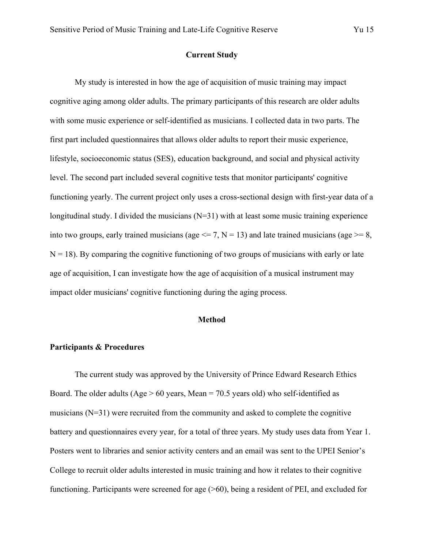### **Current Study**

My study is interested in how the age of acquisition of music training may impact cognitive aging among older adults. The primary participants of this research are older adults with some music experience or self-identified as musicians. I collected data in two parts. The first part included questionnaires that allows older adults to report their music experience, lifestyle, socioeconomic status (SES), education background, and social and physical activity level. The second part included several cognitive tests that monitor participants' cognitive functioning yearly. The current project only uses a cross-sectional design with first-year data of a longitudinal study. I divided the musicians (N=31) with at least some music training experience into two groups, early trained musicians (age  $\leq$  7, N = 13) and late trained musicians (age  $\geq$  = 8,  $N = 18$ ). By comparing the cognitive functioning of two groups of musicians with early or late age of acquisition, I can investigate how the age of acquisition of a musical instrument may impact older musicians' cognitive functioning during the aging process.

#### **Method**

#### **Participants & Procedures**

The current study was approved by the University of Prince Edward Research Ethics Board. The older adults (Age  $> 60$  years, Mean = 70.5 years old) who self-identified as musicians (N=31) were recruited from the community and asked to complete the cognitive battery and questionnaires every year, for a total of three years. My study uses data from Year 1. Posters went to libraries and senior activity centers and an email was sent to the UPEI Senior's College to recruit older adults interested in music training and how it relates to their cognitive functioning. Participants were screened for age (>60), being a resident of PEI, and excluded for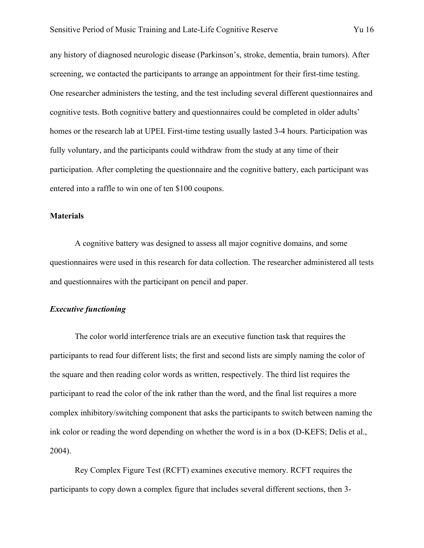any history of diagnosed neurologic disease (Parkinson's, stroke, dementia, brain tumors). After screening, we contacted the participants to arrange an appointment for their first-time testing. One researcher administers the testing, and the test including several different questionnaires and cognitive tests. Both cognitive battery and questionnaires could be completed in older adults' homes or the research lab at UPEI. First-time testing usually lasted 3-4 hours. Participation was fully voluntary, and the participants could withdraw from the study at any time of their participation. After completing the questionnaire and the cognitive battery, each participant was entered into a raffle to win one of ten \$100 coupons.

#### **Materials**

A cognitive battery was designed to assess all major cognitive domains, and some questionnaires were used in this research for data collection. The researcher administered all tests and questionnaires with the participant on pencil and paper.

#### *Executive functioning*

The color world interference trials are an executive function task that requires the participants to read four different lists; the first and second lists are simply naming the color of the square and then reading color words as written, respectively. The third list requires the participant to read the color of the ink rather than the word, and the final list requires a more complex inhibitory/switching component that asks the participants to switch between naming the ink color or reading the word depending on whether the word is in a box (D-KEFS; Delis et al., 2004).

Rey Complex Figure Test (RCFT) examines executive memory. RCFT requires the participants to copy down a complex figure that includes several different sections, then 3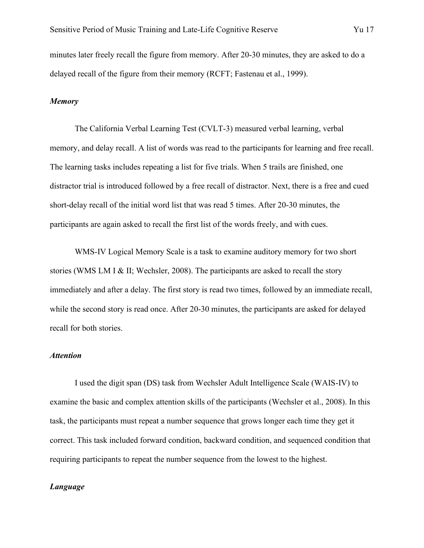minutes later freely recall the figure from memory. After 20-30 minutes, they are asked to do a delayed recall of the figure from their memory (RCFT; Fastenau et al., 1999).

#### *Memory*

The California Verbal Learning Test (CVLT-3) measured verbal learning, verbal memory, and delay recall. A list of words was read to the participants for learning and free recall. The learning tasks includes repeating a list for five trials. When 5 trails are finished, one distractor trial is introduced followed by a free recall of distractor. Next, there is a free and cued short-delay recall of the initial word list that was read 5 times. After 20-30 minutes, the participants are again asked to recall the first list of the words freely, and with cues.

WMS-IV Logical Memory Scale is a task to examine auditory memory for two short stories (WMS LM I & II; Wechsler, 2008). The participants are asked to recall the story immediately and after a delay. The first story is read two times, followed by an immediate recall, while the second story is read once. After 20-30 minutes, the participants are asked for delayed recall for both stories.

### *Attention*

I used the digit span (DS) task from Wechsler Adult Intelligence Scale (WAIS-IV) to examine the basic and complex attention skills of the participants (Wechsler et al., 2008). In this task, the participants must repeat a number sequence that grows longer each time they get it correct. This task included forward condition, backward condition, and sequenced condition that requiring participants to repeat the number sequence from the lowest to the highest.

#### *Language*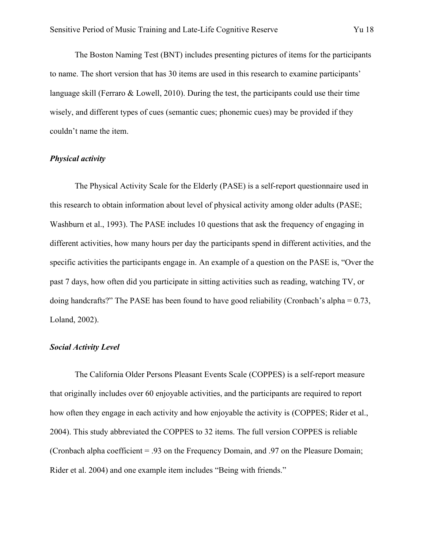The Boston Naming Test (BNT) includes presenting pictures of items for the participants to name. The short version that has 30 items are used in this research to examine participants' language skill (Ferraro & Lowell, 2010). During the test, the participants could use their time wisely, and different types of cues (semantic cues; phonemic cues) may be provided if they couldn't name the item.

#### *Physical activity*

The Physical Activity Scale for the Elderly (PASE) is a self-report questionnaire used in this research to obtain information about level of physical activity among older adults (PASE; Washburn et al., 1993). The PASE includes 10 questions that ask the frequency of engaging in different activities, how many hours per day the participants spend in different activities, and the specific activities the participants engage in. An example of a question on the PASE is, "Over the past 7 days, how often did you participate in sitting activities such as reading, watching TV, or doing handcrafts?" The PASE has been found to have good reliability (Cronbach's alpha = 0.73, Loland, 2002).

#### *Social Activity Level*

The California Older Persons Pleasant Events Scale (COPPES) is a self-report measure that originally includes over 60 enjoyable activities, and the participants are required to report how often they engage in each activity and how enjoyable the activity is (COPPES; Rider et al., 2004). This study abbreviated the COPPES to 32 items. The full version COPPES is reliable (Cronbach alpha coefficient = .93 on the Frequency Domain, and .97 on the Pleasure Domain; Rider et al. 2004) and one example item includes "Being with friends."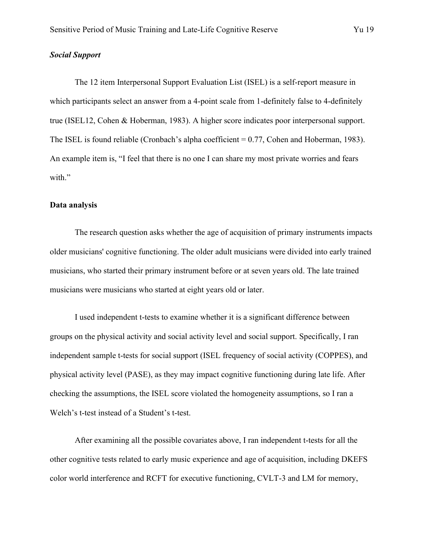#### *Social Support*

The 12 item Interpersonal Support Evaluation List (ISEL) is a self-report measure in which participants select an answer from a 4-point scale from 1-definitely false to 4-definitely true (ISEL12, Cohen & Hoberman, 1983). A higher score indicates poor interpersonal support. The ISEL is found reliable (Cronbach's alpha coefficient  $= 0.77$ , Cohen and Hoberman, 1983). An example item is, "I feel that there is no one I can share my most private worries and fears with."

#### **Data analysis**

The research question asks whether the age of acquisition of primary instruments impacts older musicians' cognitive functioning. The older adult musicians were divided into early trained musicians, who started their primary instrument before or at seven years old. The late trained musicians were musicians who started at eight years old or later.

I used independent t-tests to examine whether it is a significant difference between groups on the physical activity and social activity level and social support. Specifically, I ran independent sample t-tests for social support (ISEL frequency of social activity (COPPES), and physical activity level (PASE), as they may impact cognitive functioning during late life. After checking the assumptions, the ISEL score violated the homogeneity assumptions, so I ran a Welch's t-test instead of a Student's t-test.

After examining all the possible covariates above, I ran independent t-tests for all the other cognitive tests related to early music experience and age of acquisition, including DKEFS color world interference and RCFT for executive functioning, CVLT-3 and LM for memory,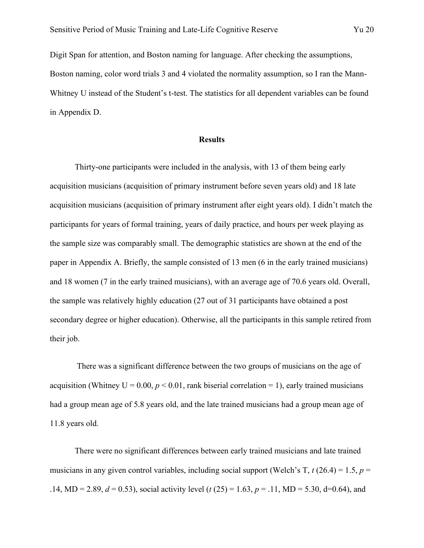Digit Span for attention, and Boston naming for language. After checking the assumptions, Boston naming, color word trials 3 and 4 violated the normality assumption, so I ran the Mann-Whitney U instead of the Student's t-test. The statistics for all dependent variables can be found in Appendix D.

#### **Results**

Thirty-one participants were included in the analysis, with 13 of them being early acquisition musicians (acquisition of primary instrument before seven years old) and 18 late acquisition musicians (acquisition of primary instrument after eight years old). I didn't match the participants for years of formal training, years of daily practice, and hours per week playing as the sample size was comparably small. The demographic statistics are shown at the end of the paper in Appendix A. Briefly, the sample consisted of 13 men (6 in the early trained musicians) and 18 women (7 in the early trained musicians), with an average age of 70.6 years old. Overall, the sample was relatively highly education (27 out of 31 participants have obtained a post secondary degree or higher education). Otherwise, all the participants in this sample retired from their job.

There was a significant difference between the two groups of musicians on the age of acquisition (Whitney  $U = 0.00$ ,  $p < 0.01$ , rank biserial correlation = 1), early trained musicians had a group mean age of 5.8 years old, and the late trained musicians had a group mean age of 11.8 years old.

There were no significant differences between early trained musicians and late trained musicians in any given control variables, including social support (Welch's T,  $t$  (26.4) = 1.5,  $p =$ .14, MD = 2.89,  $d = 0.53$ ), social activity level ( $t(25) = 1.63$ ,  $p = .11$ , MD = 5.30, d=0.64), and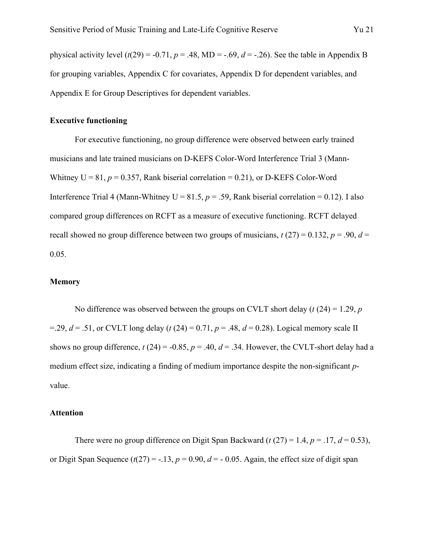physical activity level  $(t(29) = -0.71, p = .48, MD = -.69, d = -.26)$ . See the table in Appendix B for grouping variables, Appendix C for covariates, Appendix D for dependent variables, and Appendix E for Group Descriptives for dependent variables.

#### **Executive functioning**

For executive functioning, no group difference were observed between early trained musicians and late trained musicians on D-KEFS Color-Word Interference Trial 3 (Mann-Whitney  $U = 81$ ,  $p = 0.357$ , Rank biserial correlation = 0.21), or D-KEFS Color-Word Interference Trial 4 (Mann-Whitney  $U = 81.5$ ,  $p = .59$ , Rank biserial correlation = 0.12). I also compared group differences on RCFT as a measure of executive functioning. RCFT delayed recall showed no group difference between two groups of musicians,  $t(27) = 0.132$ ,  $p = .90$ ,  $d =$ 0.05.

#### **Memory**

No difference was observed between the groups on CVLT short delay (*t* (24) = 1.29, *p*  $=$ .29,  $d = .51$ , or CVLT long delay (*t* (24) = 0.71,  $p = .48$ ,  $d = 0.28$ ). Logical memory scale II shows no group difference,  $t(24) = -0.85$ ,  $p = .40$ ,  $d = .34$ . However, the CVLT-short delay had a medium effect size, indicating a finding of medium importance despite the non-significant *p*value.

#### **Attention**

There were no group difference on Digit Span Backward ( $t(27) = 1.4$ ,  $p = .17$ ,  $d = 0.53$ ), or Digit Span Sequence  $(t(27) = -.13, p = 0.90, d = -0.05$ . Again, the effect size of digit span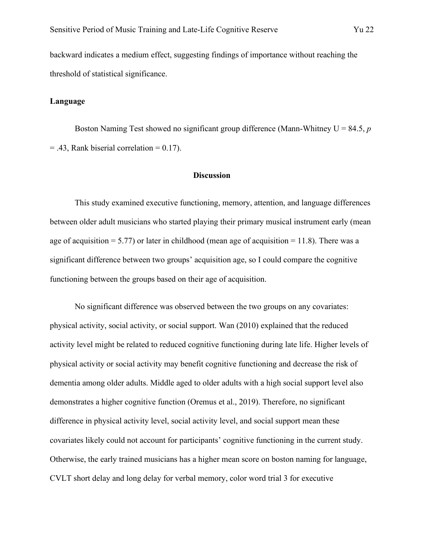backward indicates a medium effect, suggesting findings of importance without reaching the threshold of statistical significance.

#### **Language**

Boston Naming Test showed no significant group difference (Mann-Whitney U = 84.5, *p*  $= .43$ , Rank biserial correlation  $= 0.17$ ).

#### **Discussion**

This study examined executive functioning, memory, attention, and language differences between older adult musicians who started playing their primary musical instrument early (mean age of acquisition = 5.77) or later in childhood (mean age of acquisition = 11.8). There was a significant difference between two groups' acquisition age, so I could compare the cognitive functioning between the groups based on their age of acquisition.

No significant difference was observed between the two groups on any covariates: physical activity, social activity, or social support. Wan (2010) explained that the reduced activity level might be related to reduced cognitive functioning during late life. Higher levels of physical activity or social activity may benefit cognitive functioning and decrease the risk of dementia among older adults. Middle aged to older adults with a high social support level also demonstrates a higher cognitive function (Oremus et al., 2019). Therefore, no significant difference in physical activity level, social activity level, and social support mean these covariates likely could not account for participants' cognitive functioning in the current study. Otherwise, the early trained musicians has a higher mean score on boston naming for language, CVLT short delay and long delay for verbal memory, color word trial 3 for executive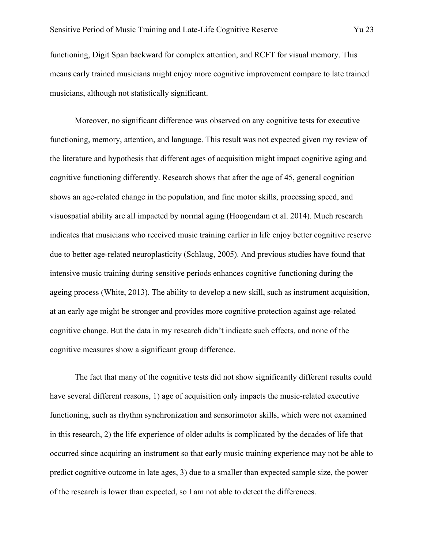functioning, Digit Span backward for complex attention, and RCFT for visual memory. This means early trained musicians might enjoy more cognitive improvement compare to late trained musicians, although not statistically significant.

Moreover, no significant difference was observed on any cognitive tests for executive functioning, memory, attention, and language. This result was not expected given my review of the literature and hypothesis that different ages of acquisition might impact cognitive aging and cognitive functioning differently. Research shows that after the age of 45, general cognition shows an age-related change in the population, and fine motor skills, processing speed, and visuospatial ability are all impacted by normal aging (Hoogendam et al. 2014). Much research indicates that musicians who received music training earlier in life enjoy better cognitive reserve due to better age-related neuroplasticity (Schlaug, 2005). And previous studies have found that intensive music training during sensitive periods enhances cognitive functioning during the ageing process (White, 2013). The ability to develop a new skill, such as instrument acquisition, at an early age might be stronger and provides more cognitive protection against age-related cognitive change. But the data in my research didn't indicate such effects, and none of the cognitive measures show a significant group difference.

The fact that many of the cognitive tests did not show significantly different results could have several different reasons, 1) age of acquisition only impacts the music-related executive functioning, such as rhythm synchronization and sensorimotor skills, which were not examined in this research, 2) the life experience of older adults is complicated by the decades of life that occurred since acquiring an instrument so that early music training experience may not be able to predict cognitive outcome in late ages, 3) due to a smaller than expected sample size, the power of the research is lower than expected, so I am not able to detect the differences.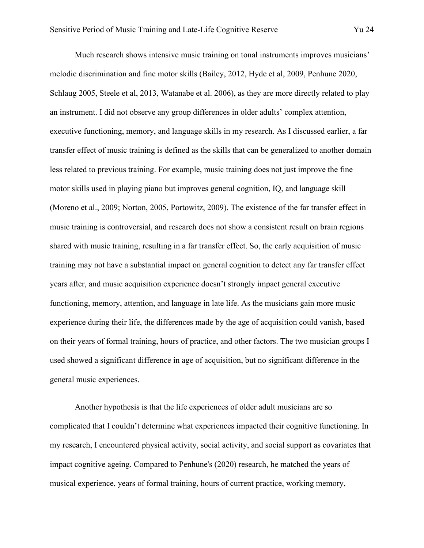Much research shows intensive music training on tonal instruments improves musicians' melodic discrimination and fine motor skills (Bailey, 2012, Hyde et al, 2009, Penhune 2020, Schlaug 2005, Steele et al, 2013, Watanabe et al. 2006), as they are more directly related to play an instrument. I did not observe any group differences in older adults' complex attention, executive functioning, memory, and language skills in my research. As I discussed earlier, a far transfer effect of music training is defined as the skills that can be generalized to another domain less related to previous training. For example, music training does not just improve the fine motor skills used in playing piano but improves general cognition, IQ, and language skill (Moreno et al., 2009; Norton, 2005, Portowitz, 2009). The existence of the far transfer effect in music training is controversial, and research does not show a consistent result on brain regions shared with music training, resulting in a far transfer effect. So, the early acquisition of music training may not have a substantial impact on general cognition to detect any far transfer effect years after, and music acquisition experience doesn't strongly impact general executive functioning, memory, attention, and language in late life. As the musicians gain more music experience during their life, the differences made by the age of acquisition could vanish, based on their years of formal training, hours of practice, and other factors. The two musician groups I used showed a significant difference in age of acquisition, but no significant difference in the general music experiences.

Another hypothesis is that the life experiences of older adult musicians are so complicated that I couldn't determine what experiences impacted their cognitive functioning. In my research, I encountered physical activity, social activity, and social support as covariates that impact cognitive ageing. Compared to Penhune's (2020) research, he matched the years of musical experience, years of formal training, hours of current practice, working memory,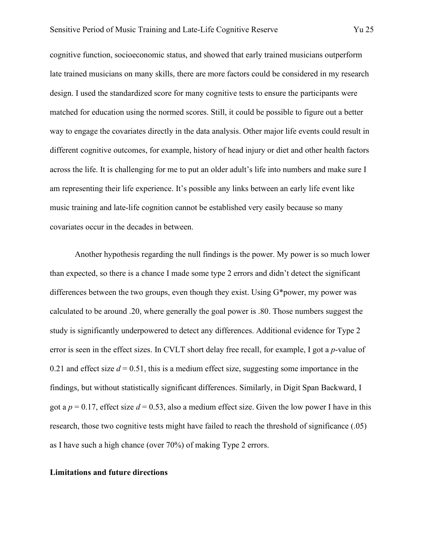cognitive function, socioeconomic status, and showed that early trained musicians outperform late trained musicians on many skills, there are more factors could be considered in my research design. I used the standardized score for many cognitive tests to ensure the participants were matched for education using the normed scores. Still, it could be possible to figure out a better way to engage the covariates directly in the data analysis. Other major life events could result in different cognitive outcomes, for example, history of head injury or diet and other health factors across the life. It is challenging for me to put an older adult's life into numbers and make sure I am representing their life experience. It's possible any links between an early life event like music training and late-life cognition cannot be established very easily because so many covariates occur in the decades in between.

Another hypothesis regarding the null findings is the power. My power is so much lower than expected, so there is a chance I made some type 2 errors and didn't detect the significant differences between the two groups, even though they exist. Using G\*power, my power was calculated to be around .20, where generally the goal power is .80. Those numbers suggest the study is significantly underpowered to detect any differences. Additional evidence for Type 2 error is seen in the effect sizes. In CVLT short delay free recall, for example, I got a *p*-value of 0.21 and effect size  $d = 0.51$ , this is a medium effect size, suggesting some importance in the findings, but without statistically significant differences. Similarly, in Digit Span Backward, I got a  $p = 0.17$ , effect size  $d = 0.53$ , also a medium effect size. Given the low power I have in this research, those two cognitive tests might have failed to reach the threshold of significance (.05) as I have such a high chance (over 70%) of making Type 2 errors.

#### **Limitations and future directions**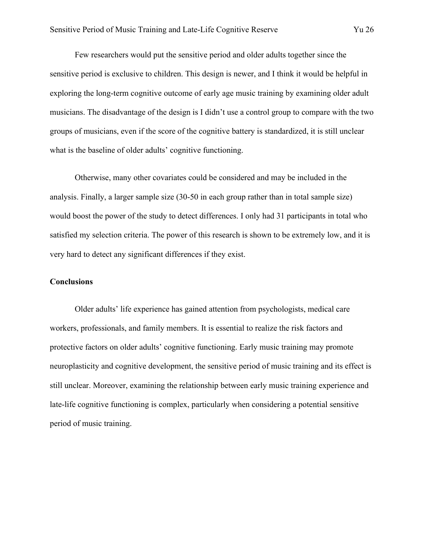Few researchers would put the sensitive period and older adults together since the sensitive period is exclusive to children. This design is newer, and I think it would be helpful in exploring the long-term cognitive outcome of early age music training by examining older adult musicians. The disadvantage of the design is I didn't use a control group to compare with the two groups of musicians, even if the score of the cognitive battery is standardized, it is still unclear what is the baseline of older adults' cognitive functioning.

Otherwise, many other covariates could be considered and may be included in the analysis. Finally, a larger sample size (30-50 in each group rather than in total sample size) would boost the power of the study to detect differences. I only had 31 participants in total who satisfied my selection criteria. The power of this research is shown to be extremely low, and it is very hard to detect any significant differences if they exist.

#### **Conclusions**

Older adults' life experience has gained attention from psychologists, medical care workers, professionals, and family members. It is essential to realize the risk factors and protective factors on older adults' cognitive functioning. Early music training may promote neuroplasticity and cognitive development, the sensitive period of music training and its effect is still unclear. Moreover, examining the relationship between early music training experience and late-life cognitive functioning is complex, particularly when considering a potential sensitive period of music training.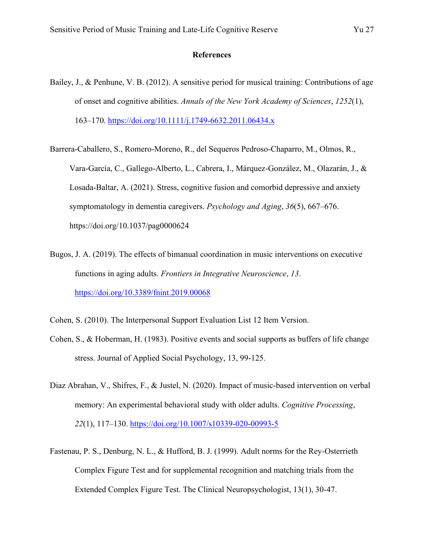#### **References**

- Bailey, J., & Penhune, V. B. (2012). A sensitive period for musical training: Contributions of age of onset and cognitive abilities. *Annals of the New York Academy of Sciences*, *1252*(1), 163–170.<https://doi.org/10.1111/j.1749-6632.2011.06434.x>
- Barrera-Caballero, S., Romero-Moreno, R., del Sequeros Pedroso-Chaparro, M., Olmos, R., Vara-García, C., Gallego-Alberto, L., Cabrera, I., Márquez-González, M., Olazarán, J., & Losada-Baltar, A. (2021). Stress, cognitive fusion and comorbid depressive and anxiety symptomatology in dementia caregivers. *Psychology and Aging*, *36*(5), 667–676. https://doi.org/10.1037/pag0000624
- Bugos, J. A. (2019). The effects of bimanual coordination in music interventions on executive functions in aging adults. *Frontiers in Integrative Neuroscience*, *13*. <https://doi.org/10.3389/fnint.2019.00068>
- Cohen, S. (2010). The Interpersonal Support Evaluation List 12 Item Version.
- Cohen, S., & Hoberman, H. (1983). Positive events and social supports as buffers of life change stress. Journal of Applied Social Psychology, 13, 99-125.
- Diaz Abrahan, V., Shifres, F., & Justel, N. (2020). Impact of music-based intervention on verbal memory: An experimental behavioral study with older adults. *Cognitive Processing*, *22*(1), 117–130.<https://doi.org/10.1007/s10339-020-00993-5>
- Fastenau, P. S., Denburg, N. L., & Hufford, B. J. (1999). Adult norms for the Rey-Osterrieth Complex Figure Test and for supplemental recognition and matching trials from the Extended Complex Figure Test. The Clinical Neuropsychologist, 13(1), 30-47.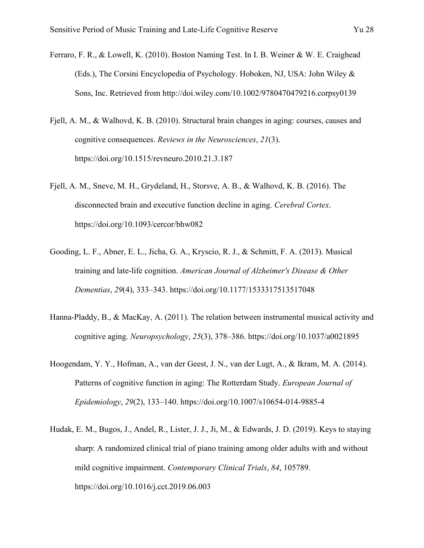- Ferraro, F. R., & Lowell, K. (2010). Boston Naming Test. In I. B. Weiner & W. E. Craighead (Eds.), The Corsini Encyclopedia of Psychology. Hoboken, NJ, USA: John Wiley & Sons, Inc. Retrieved from http://doi.wiley.com/10.1002/9780470479216.corpsy0139
- Fjell, A. M., & Walhovd, K. B. (2010). Structural brain changes in aging: courses, causes and cognitive consequences. *Reviews in the Neurosciences*, *21*(3). https://doi.org/10.1515/revneuro.2010.21.3.187
- Fjell, A. M., Sneve, M. H., Grydeland, H., Storsve, A. B., & Walhovd, K. B. (2016). The disconnected brain and executive function decline in aging. *Cerebral Cortex*. https://doi.org/10.1093/cercor/bhw082
- Gooding, L. F., Abner, E. L., Jicha, G. A., Kryscio, R. J., & Schmitt, F. A. (2013). Musical training and late-life cognition. *American Journal of Alzheimer's Disease & Other Dementias*, *29*(4), 333–343. https://doi.org/10.1177/1533317513517048
- Hanna-Pladdy, B., & MacKay, A. (2011). The relation between instrumental musical activity and cognitive aging. *Neuropsychology*, *25*(3), 378–386. https://doi.org/10.1037/a0021895
- Hoogendam, Y. Y., Hofman, A., van der Geest, J. N., van der Lugt, A., & Ikram, M. A. (2014). Patterns of cognitive function in aging: The Rotterdam Study. *European Journal of Epidemiology*, *29*(2), 133–140. https://doi.org/10.1007/s10654-014-9885-4
- Hudak, E. M., Bugos, J., Andel, R., Lister, J. J., Ji, M., & Edwards, J. D. (2019). Keys to staying sharp: A randomized clinical trial of piano training among older adults with and without mild cognitive impairment. *Contemporary Clinical Trials*, *84*, 105789. https://doi.org/10.1016/j.cct.2019.06.003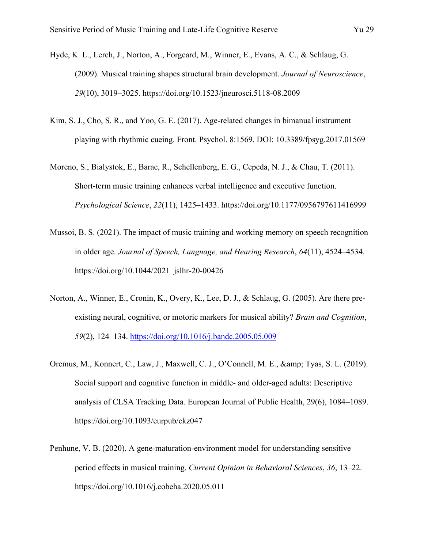- Hyde, K. L., Lerch, J., Norton, A., Forgeard, M., Winner, E., Evans, A. C., & Schlaug, G. (2009). Musical training shapes structural brain development. *Journal of Neuroscience*, *29*(10), 3019–3025. https://doi.org/10.1523/jneurosci.5118-08.2009
- Kim, S. J., Cho, S. R., and Yoo, G. E. (2017). Age-related changes in bimanual instrument playing with rhythmic cueing. Front. Psychol. 8:1569. DOI: 10.3389/fpsyg.2017.01569
- Moreno, S., Bialystok, E., Barac, R., Schellenberg, E. G., Cepeda, N. J., & Chau, T. (2011). Short-term music training enhances verbal intelligence and executive function. *Psychological Science*, *22*(11), 1425–1433. https://doi.org/10.1177/0956797611416999
- Mussoi, B. S. (2021). The impact of music training and working memory on speech recognition in older age. *Journal of Speech, Language, and Hearing Research*, *64*(11), 4524–4534. https://doi.org/10.1044/2021\_jslhr-20-00426
- Norton, A., Winner, E., Cronin, K., Overy, K., Lee, D. J., & Schlaug, G. (2005). Are there preexisting neural, cognitive, or motoric markers for musical ability? *Brain and Cognition*, *59*(2), 124–134.<https://doi.org/10.1016/j.bandc.2005.05.009>
- Oremus, M., Konnert, C., Law, J., Maxwell, C. J., O'Connell, M. E., & amp; Tyas, S. L. (2019). Social support and cognitive function in middle- and older-aged adults: Descriptive analysis of CLSA Tracking Data. European Journal of Public Health, 29(6), 1084–1089. https://doi.org/10.1093/eurpub/ckz047
- Penhune, V. B. (2020). A gene-maturation-environment model for understanding sensitive period effects in musical training. *Current Opinion in Behavioral Sciences*, *36*, 13–22. https://doi.org/10.1016/j.cobeha.2020.05.011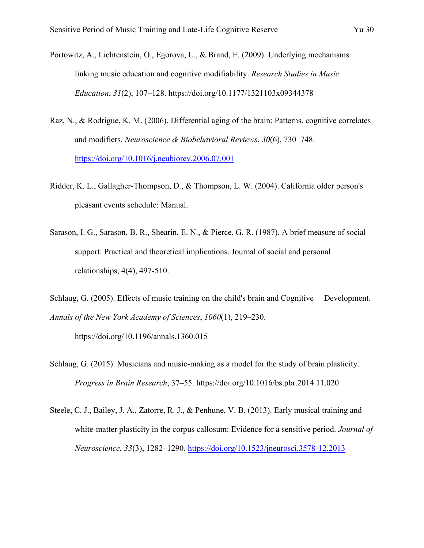- Raz, N., & Rodrigue, K. M. (2006). Differential aging of the brain: Patterns, cognitive correlates and modifiers. *Neuroscience & Biobehavioral Reviews*, *30*(6), 730–748. <https://doi.org/10.1016/j.neubiorev.2006.07.001>
- Ridder, K. L., Gallagher-Thompson, D., & Thompson, L. W. (2004). California older person's pleasant events schedule: Manual.
- Sarason, I. G., Sarason, B. R., Shearin, E. N., & Pierce, G. R. (1987). A brief measure of social support: Practical and theoretical implications. Journal of social and personal relationships, 4(4), 497-510.
- Schlaug, G. (2005). Effects of music training on the child's brain and Cognitive Development. *Annals of the New York Academy of Sciences*, *1060*(1), 219–230.

https://doi.org/10.1196/annals.1360.015

- Schlaug, G. (2015). Musicians and music-making as a model for the study of brain plasticity. *Progress in Brain Research*, 37–55. https://doi.org/10.1016/bs.pbr.2014.11.020
- Steele, C. J., Bailey, J. A., Zatorre, R. J., & Penhune, V. B. (2013). Early musical training and white-matter plasticity in the corpus callosum: Evidence for a sensitive period. *Journal of Neuroscience*, *33*(3), 1282–1290.<https://doi.org/10.1523/jneurosci.3578-12.2013>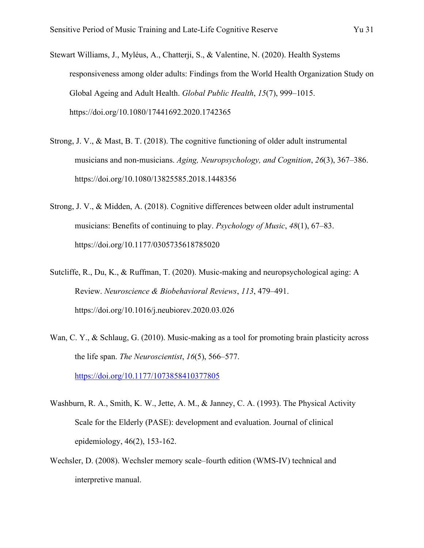- Stewart Williams, J., Myléus, A., Chatterji, S., & Valentine, N. (2020). Health Systems responsiveness among older adults: Findings from the World Health Organization Study on Global Ageing and Adult Health. *Global Public Health*, *15*(7), 999–1015. https://doi.org/10.1080/17441692.2020.1742365
- Strong, J. V., & Mast, B. T. (2018). The cognitive functioning of older adult instrumental musicians and non-musicians. *Aging, Neuropsychology, and Cognition*, *26*(3), 367–386. https://doi.org/10.1080/13825585.2018.1448356
- Strong, J. V., & Midden, A. (2018). Cognitive differences between older adult instrumental musicians: Benefits of continuing to play. *Psychology of Music*, *48*(1), 67–83. https://doi.org/10.1177/0305735618785020
- Sutcliffe, R., Du, K., & Ruffman, T. (2020). Music-making and neuropsychological aging: A Review. *Neuroscience & Biobehavioral Reviews*, *113*, 479–491. https://doi.org/10.1016/j.neubiorev.2020.03.026
- Wan, C. Y., & Schlaug, G. (2010). Music-making as a tool for promoting brain plasticity across the life span. *The Neuroscientist*, *16*(5), 566–577.

<https://doi.org/10.1177/1073858410377805>

- Washburn, R. A., Smith, K. W., Jette, A. M., & Janney, C. A. (1993). The Physical Activity Scale for the Elderly (PASE): development and evaluation. Journal of clinical epidemiology, 46(2), 153-162.
- Wechsler, D. (2008). Wechsler memory scale–fourth edition (WMS-IV) technical and interpretive manual.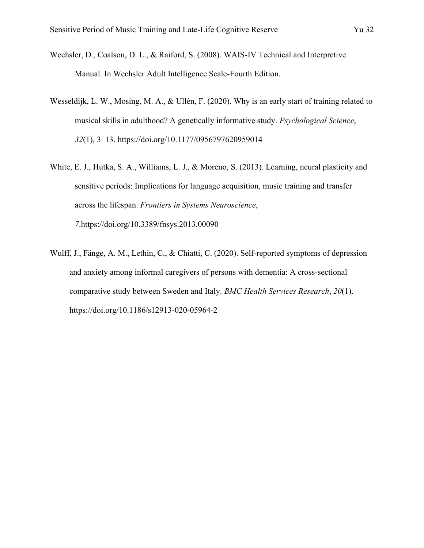- Wechsler, D., Coalson, D. L., & Raiford, S. (2008). WAIS-IV Technical and Interpretive Manual. In Wechsler Adult Intelligence Scale-Fourth Edition.
- Wesseldijk, L. W., Mosing, M. A., & Ullén, F. (2020). Why is an early start of training related to musical skills in adulthood? A genetically informative study. *Psychological Science*, *32*(1), 3–13. https://doi.org/10.1177/0956797620959014
- White, E. J., Hutka, S. A., Williams, L. J., & Moreno, S. (2013). Learning, neural plasticity and sensitive periods: Implications for language acquisition, music training and transfer across the lifespan. *Frontiers in Systems Neuroscience*, *7*.https://doi.org/10.3389/fnsys.2013.00090
- Wulff, J., Fänge, A. M., Lethin, C., & Chiatti, C. (2020). Self-reported symptoms of depression and anxiety among informal caregivers of persons with dementia: A cross-sectional comparative study between Sweden and Italy. *BMC Health Services Research*, *20*(1). https://doi.org/10.1186/s12913-020-05964-2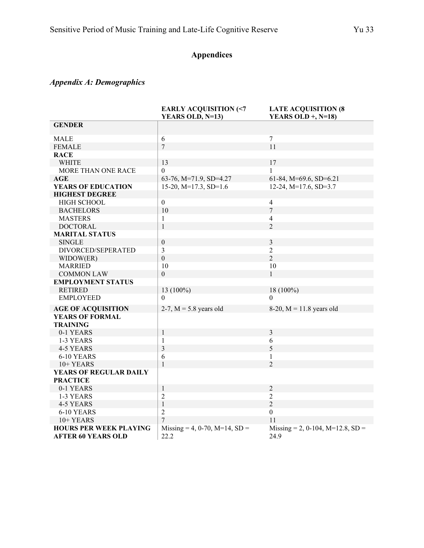# **Appendices**

# *Appendix A: Demographics*

|                                                            | <b>EARLY ACQUISITION (&lt;7</b><br>YEARS OLD, N=13) | <b>LATE ACQUISITION (8</b><br>YEARS OLD $+$ , N=18) |
|------------------------------------------------------------|-----------------------------------------------------|-----------------------------------------------------|
| <b>GENDER</b>                                              |                                                     |                                                     |
| <b>MALE</b>                                                | 6                                                   | $\overline{7}$                                      |
| <b>FEMALE</b>                                              | $\overline{7}$                                      | 11                                                  |
| <b>RACE</b>                                                |                                                     |                                                     |
| <b>WHITE</b>                                               | 13                                                  | 17                                                  |
| MORE THAN ONE RACE                                         | $\Omega$                                            | $\mathbf{1}$                                        |
| AGE                                                        | 63-76, M=71.9, SD=4.27                              | $61-84$ , M=69.6, SD=6.21                           |
| <b>YEARS OF EDUCATION</b>                                  | 15-20, $M=17.3$ , SD=1.6                            | 12-24, $M=17.6$ , SD=3.7                            |
| <b>HIGHEST DEGREE</b>                                      |                                                     |                                                     |
| <b>HIGH SCHOOL</b>                                         | $\boldsymbol{0}$                                    | $\overline{4}$                                      |
| <b>BACHELORS</b>                                           | 10                                                  | $\overline{7}$                                      |
| <b>MASTERS</b>                                             | $\mathbf{1}$                                        | $\overline{4}$                                      |
| <b>DOCTORAL</b>                                            | $\mathbf{1}$                                        | 2                                                   |
| <b>MARITAL STATUS</b>                                      |                                                     |                                                     |
| <b>SINGLE</b>                                              | $\boldsymbol{0}$                                    | $\mathfrak{Z}$                                      |
| DIVORCED/SEPERATED                                         | 3                                                   | $\overline{2}$                                      |
| WIDOW(ER)                                                  | $\overline{0}$                                      | $\overline{2}$                                      |
| <b>MARRIED</b>                                             | 10                                                  | 10                                                  |
| <b>COMMON LAW</b>                                          | $\boldsymbol{0}$                                    | $\mathbf{1}$                                        |
| <b>EMPLOYMENT STATUS</b>                                   |                                                     |                                                     |
| <b>RETIRED</b>                                             | 13 (100%)                                           | 18 (100%)                                           |
| <b>EMPLOYEED</b>                                           | $\Omega$                                            | $\theta$                                            |
| <b>AGE OF ACQUISITION</b>                                  | 2-7, $M = 5.8$ years old                            | 8-20, $M = 11.8$ years old                          |
| <b>YEARS OF FORMAL</b>                                     |                                                     |                                                     |
| <b>TRAINING</b>                                            |                                                     |                                                     |
| 0-1 YEARS                                                  | $\mathbf{1}$                                        | $\overline{3}$                                      |
| 1-3 YEARS                                                  | 1                                                   | 6                                                   |
| 4-5 YEARS                                                  | 3                                                   | 5                                                   |
| 6-10 YEARS                                                 | 6                                                   | 1                                                   |
| 10+ YEARS                                                  | $\mathbf{1}$                                        | $\overline{2}$                                      |
| YEARS OF REGULAR DAILY                                     |                                                     |                                                     |
| <b>PRACTICE</b>                                            |                                                     |                                                     |
| 0-1 YEARS                                                  | $\mathbf{1}$                                        | $\overline{2}$                                      |
| 1-3 YEARS                                                  | 2                                                   | $\overline{2}$                                      |
| 4-5 YEARS                                                  | $\,1$                                               | $\overline{2}$                                      |
| 6-10 YEARS                                                 | $\overline{2}$                                      | $\mathbf{0}$                                        |
| 10+ YEARS                                                  | $\overline{7}$                                      | 11                                                  |
| <b>HOURS PER WEEK PLAYING</b><br><b>AFTER 60 YEARS OLD</b> | Missing = 4, 0-70, M=14, SD =<br>22.2               | Missing = 2, 0-104, M=12.8, SD =<br>24.9            |
|                                                            |                                                     |                                                     |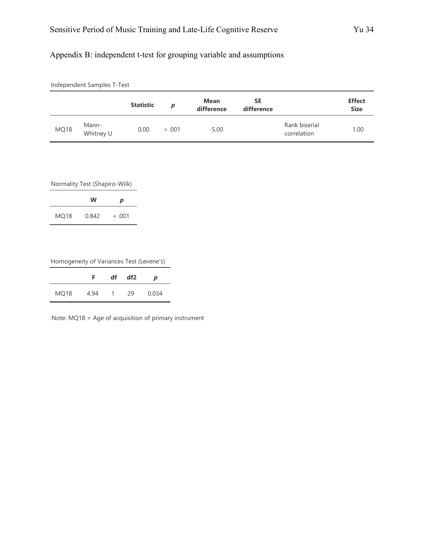## Appendix B: independent t-test for grouping variable and assumptions

|      | Independent Samples T-Test |                  |         |                           |                         |                              |                              |
|------|----------------------------|------------------|---------|---------------------------|-------------------------|------------------------------|------------------------------|
|      |                            | <b>Statistic</b> | p       | <b>Mean</b><br>difference | <b>SE</b><br>difference |                              | <b>Effect</b><br><b>Size</b> |
| MQ18 | Mann-<br>Whitney U         | 0.00             | < 0.001 | $-5.00$                   |                         | Rank biserial<br>correlation | 1.00                         |

Normality Test (Shapiro-Wilk)

|      | w     | р       |
|------|-------|---------|
| MQ18 | 0.842 | < 0.001 |

Homogeneity of Variances Test (Levene's)

|      | F.   | df | df <sub>2</sub> | p     |
|------|------|----|-----------------|-------|
| MQ18 | 4.94 | 1  | 29              | 0.034 |

Note: MQ18 = Age of acquisition of primary instrument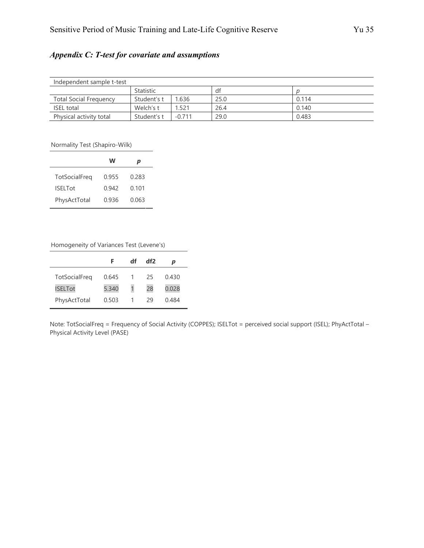## *Appendix C: T-test for covariate and assumptions*

| Independent sample t-test     |             |          |      |       |  |
|-------------------------------|-------------|----------|------|-------|--|
|                               | Statistic   |          | dt   |       |  |
| <b>Total Social Frequency</b> | Student's t | 1.636    | 25.0 | 0.114 |  |
| <b>ISEL total</b>             | Welch's t   | 1.521    | 26.4 | 0.140 |  |
| Physical activity total       | Student's t | $-0.711$ | 29.0 | 0.483 |  |

Normality Test (Shapiro-Wilk)

| w     | р     |
|-------|-------|
| 0.955 | 0.283 |
| 0.942 | 0.101 |
| 0.936 | 0.063 |
|       |       |

Homogeneity of Variances Test (Levene's)

|                | F     | df | df2 | p     |
|----------------|-------|----|-----|-------|
| TotSocialFreq  | 0.645 |    | 25  | 0.430 |
| <b>ISELTot</b> | 5.340 | 1  | 28  | 0.028 |
| PhysActTotal   | 0.503 |    | 29  | 0.484 |

Note: TotSocialFreq = Frequency of Social Activity (COPPES); ISELTot = perceived social support (ISEL); PhyActTotal – Physical Activity Level (PASE)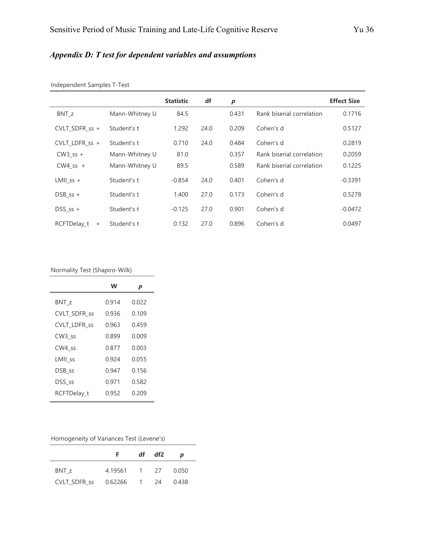# *Appendix D: T test for dependent variables and assumptions*

|                          |                | <b>Statistic</b> | df   | $\boldsymbol{p}$ |                           | <b>Effect Size</b> |
|--------------------------|----------------|------------------|------|------------------|---------------------------|--------------------|
| BNT_z                    | Mann-Whitney U | 84.5             |      | 0.431            | Rank biserial correlation | 0.1716             |
| CVLT SDFR $ss +$         | Student's t    | 1.292            | 24.0 | 0.209            | Cohen's d                 | 0.5127             |
| CVLT LDFR $ss +$         | Student's t    | 0.710            | 24.0 | 0.484            | Cohen's d                 | 0.2819             |
| $CW3$ ss +               | Mann-Whitney U | 81.0             |      | 0.357            | Rank biserial correlation | 0.2059             |
| $CW4$ ss +               | Mann-Whitney U | 89.5             |      | 0.589            | Rank biserial correlation | 0.1225             |
| $LMII$ ss +              | Student's t    | $-0.854$         | 24.0 | 0.401            | Cohen's d                 | $-0.3391$          |
| $DSB$ ss +               | Student's t    | 1.400            | 27.0 | 0.173            | Cohen's d                 | 0.5278             |
| $DSS$ ss +               | Student's t    | $-0.125$         | 27.0 | 0.901            | Cohen's d                 | $-0.0472$          |
| RCFTDelay t<br>$\ddot{}$ | Student's t    | 0.132            | 27.0 | 0.896            | Cohen's d                 | 0.0497             |

Independent Samples T-Test

Normality Test (Shapiro-Wilk)

|                     | w     | p     |
|---------------------|-------|-------|
| BNT_z               | 0.914 | 0.022 |
| CVLT_SDFR_ss        | 0.936 | 0.109 |
| <b>CVLT LDFR ss</b> | 0.963 | 0.459 |
| CW <sub>3_ss</sub>  | 0.899 | 0.009 |
| CW4 ss              | 0.877 | 0.003 |
| LMII_ss             | 0.924 | 0.055 |
| DSB_ss              | 0.947 | 0.156 |
| DSS ss              | 0.971 | 0.582 |
| RCFTDelay t         | 0.952 | 0.209 |

| Homogeneity of Variances Test (Levene's) |  |  |  |
|------------------------------------------|--|--|--|
|------------------------------------------|--|--|--|

|              | E.           | df | df2 | D     |
|--------------|--------------|----|-----|-------|
| BNT z        | 4.19561 1 27 |    |     | 0.050 |
| CVLT SDFR ss | 0.62266 1    |    | 24  | 0.438 |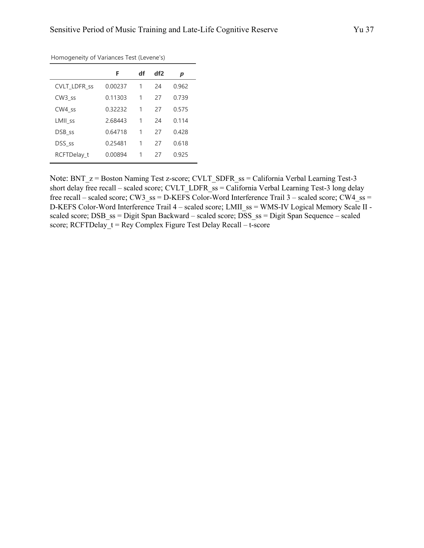|                     | F       | df | df2 | p     |
|---------------------|---------|----|-----|-------|
| <b>CVLT LDFR ss</b> | 0.00237 | 1  | 24  | 0.962 |
| CW <sub>3</sub> ss  | 0.11303 | 1  | 27  | 0.739 |
| CW4 ss              | 0.32232 | 1  | 27  | 0.575 |
| LMII_ss             | 2.68443 | 1  | 24  | 0.114 |
| DSB_ss              | 0.64718 | 1  | 27  | 0.428 |
| DSS ss              | 0.25481 | 1  | 27  | 0.618 |
| RCFTDelay t         | 0.00894 | 1  | 27  | 0.925 |

Homogeneity of Variances Test (Levene's)

Note: BNT\_z = Boston Naming Test z-score; CVLT\_SDFR\_ss = California Verbal Learning Test-3 short delay free recall – scaled score; CVLT\_LDFR\_ss = California Verbal Learning Test-3 long delay free recall – scaled score; CW3\_ss = D-KEFS Color-Word Interference Trail  $3$  – scaled score; CW4\_ss = D-KEFS Color-Word Interference Trail 4 – scaled score; LMII\_ss = WMS-IV Logical Memory Scale II scaled score; DSB\_ss = Digit Span Backward – scaled score; DSS\_ss = Digit Span Sequence – scaled score; RCFTDelay  $t = \text{Re}y$  Complex Figure Test Delay Recall – t-score